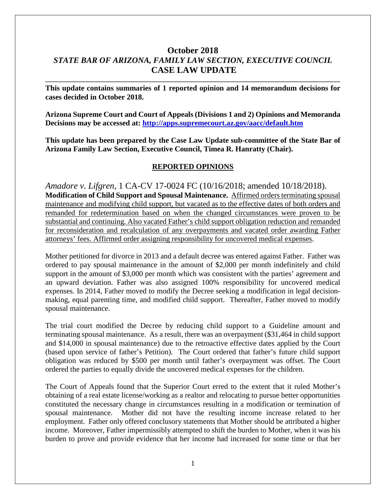# **October 2018** *STATE BAR OF ARIZONA, FAMILY LAW SECTION, EXECUTIVE COUNCIL* **CASE LAW UPDATE**

**This update contains summaries of 1 reported opinion and 14 memorandum decisions for cases decided in October 2018.**

**Arizona Supreme Court and Court of Appeals (Divisions 1 and 2) Opinions and Memoranda Decisions may be accessed at: <http://apps.supremecourt.az.gov/aacc/default.htm>**

**This update has been prepared by the Case Law Update sub-committee of the State Bar of Arizona Family Law Section, Executive Council, Timea R. Hanratty (Chair).**

#### **REPORTED OPINIONS**

*Amadore v. Lifgren*, 1 CA-CV 17-0024 FC (10/16/2018; amended 10/18/2018). **Modification of Child Support and Spousal Maintenance.**Affirmed orders terminating spousal maintenance and modifying child support, but vacated as to the effective dates of both orders and remanded for redetermination based on when the changed circumstances were proven to be substantial and continuing. Also vacated Father's child support obligation reduction and remanded for reconsideration and recalculation of any overpayments and vacated order awarding Father attorneys' fees. Affirmed order assigning responsibility for uncovered medical expenses.

Mother petitioned for divorce in 2013 and a default decree was entered against Father. Father was ordered to pay spousal maintenance in the amount of \$2,000 per month indefinitely and child support in the amount of \$3,000 per month which was consistent with the parties' agreement and an upward deviation. Father was also assigned 100% responsibility for uncovered medical expenses. In 2014, Father moved to modify the Decree seeking a modification in legal decisionmaking, equal parenting time, and modified child support. Thereafter, Father moved to modify spousal maintenance.

The trial court modified the Decree by reducing child support to a Guideline amount and terminating spousal maintenance. As a result, there was an overpayment (\$31,464 in child support and \$14,000 in spousal maintenance) due to the retroactive effective dates applied by the Court (based upon service of father's Petition). The Court ordered that father's future child support obligation was reduced by \$500 per month until father's overpayment was offset. The Court ordered the parties to equally divide the uncovered medical expenses for the children.

The Court of Appeals found that the Superior Court erred to the extent that it ruled Mother's obtaining of a real estate license/working as a realtor and relocating to pursue better opportunities constituted the necessary change in circumstances resulting in a modification or termination of spousal maintenance. Mother did not have the resulting income increase related to her employment. Father only offered conclusory statements that Mother should be attributed a higher income. Moreover, Father impermissibly attempted to shift the burden to Mother, when it was his burden to prove and provide evidence that her income had increased for some time or that her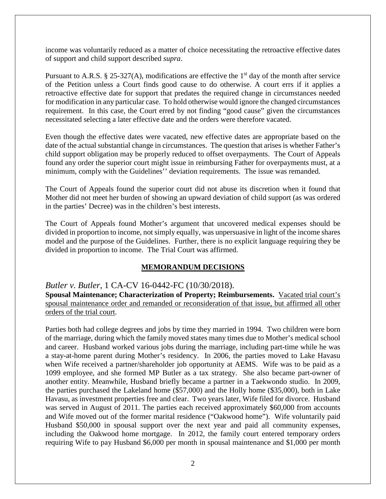income was voluntarily reduced as a matter of choice necessitating the retroactive effective dates of support and child support described *supra*.

Pursuant to A.R.S. § 25-327(A), modifications are effective the  $1<sup>st</sup>$  day of the month after service of the Petition unless a Court finds good cause to do otherwise. A court errs if it applies a retroactive effective date for support that predates the required change in circumstances needed for modification in any particular case. To hold otherwise would ignore the changed circumstances requirement. In this case, the Court erred by not finding "good cause" given the circumstances necessitated selecting a later effective date and the orders were therefore vacated.

Even though the effective dates were vacated, new effective dates are appropriate based on the date of the actual substantial change in circumstances. The question that arises is whether Father's child support obligation may be properly reduced to offset overpayments. The Court of Appeals found any order the superior court might issue in reimbursing Father for overpayments must, at a minimum, comply with the Guidelines'' deviation requirements. The issue was remanded.

The Court of Appeals found the superior court did not abuse its discretion when it found that Mother did not meet her burden of showing an upward deviation of child support (as was ordered in the parties' Decree) was in the children's best interests.

The Court of Appeals found Mother's argument that uncovered medical expenses should be divided in proportion to income, not simply equally, was unpersuasive in light of the income shares model and the purpose of the Guidelines. Further, there is no explicit language requiring they be divided in proportion to income. The Trial Court was affirmed.

# **MEMORANDUM DECISIONS**

*Butler v. Butler*, 1 CA-CV 16-0442-FC (10/30/2018).

**Spousal Maintenance; Characterization of Property; Reimbursements.** Vacated trial court's spousal maintenance order and remanded or reconsideration of that issue, but affirmed all other orders of the trial court.

Parties both had college degrees and jobs by time they married in 1994. Two children were born of the marriage, during which the family moved states many times due to Mother's medical school and career. Husband worked various jobs during the marriage, including part-time while he was a stay-at-home parent during Mother's residency. In 2006, the parties moved to Lake Havasu when Wife received a partner/shareholder job opportunity at AEMS. Wife was to be paid as a 1099 employee, and she formed MP Butler as a tax strategy. She also became part-owner of another entity. Meanwhile, Husband briefly became a partner in a Taekwondo studio. In 2009, the parties purchased the Lakeland home (\$57,000) and the Holly home (\$35,000), both in Lake Havasu, as investment properties free and clear. Two years later, Wife filed for divorce. Husband was served in August of 2011. The parties each received approximately \$60,000 from accounts and Wife moved out of the former marital residence ("Oakwood home"). Wife voluntarily paid Husband \$50,000 in spousal support over the next year and paid all community expenses, including the Oakwood home mortgage. In 2012, the family court entered temporary orders requiring Wife to pay Husband \$6,000 per month in spousal maintenance and \$1,000 per month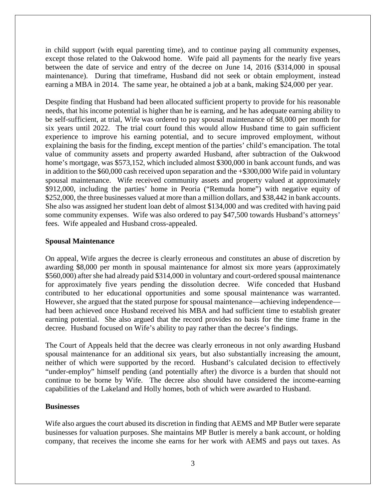in child support (with equal parenting time), and to continue paying all community expenses, except those related to the Oakwood home. Wife paid all payments for the nearly five years between the date of service and entry of the decree on June 14, 2016 (\$314,000 in spousal maintenance). During that timeframe, Husband did not seek or obtain employment, instead earning a MBA in 2014. The same year, he obtained a job at a bank, making \$24,000 per year.

Despite finding that Husband had been allocated sufficient property to provide for his reasonable needs, that his income potential is higher than he is earning, and he has adequate earning ability to be self-sufficient, at trial, Wife was ordered to pay spousal maintenance of \$8,000 per month for six years until 2022. The trial court found this would allow Husband time to gain sufficient experience to improve his earning potential, and to secure improved employment, without explaining the basis for the finding, except mention of the parties' child's emancipation. The total value of community assets and property awarded Husband, after subtraction of the Oakwood home's mortgage, was \$573,152, which included almost \$300,000 in bank account funds, and was in addition to the \$60,000 cash received upon separation and the +\$300,000 Wife paid in voluntary spousal maintenance. Wife received community assets and property valued at approximately \$912,000, including the parties' home in Peoria ("Remuda home") with negative equity of \$252,000, the three businesses valued at more than a million dollars, and \$38,442 in bank accounts. She also was assigned her student loan debt of almost \$134,000 and was credited with having paid some community expenses. Wife was also ordered to pay \$47,500 towards Husband's attorneys' fees. Wife appealed and Husband cross-appealed.

#### **Spousal Maintenance**

On appeal, Wife argues the decree is clearly erroneous and constitutes an abuse of discretion by awarding \$8,000 per month in spousal maintenance for almost six more years (approximately \$560,000) after she had already paid \$314,000 in voluntary and court-ordered spousal maintenance for approximately five years pending the dissolution decree. Wife conceded that Husband contributed to her educational opportunities and some spousal maintenance was warranted. However, she argued that the stated purpose for spousal maintenance—achieving independence had been achieved once Husband received his MBA and had sufficient time to establish greater earning potential. She also argued that the record provides no basis for the time frame in the decree. Husband focused on Wife's ability to pay rather than the decree's findings.

The Court of Appeals held that the decree was clearly erroneous in not only awarding Husband spousal maintenance for an additional six years, but also substantially increasing the amount, neither of which were supported by the record. Husband's calculated decision to effectively "under-employ" himself pending (and potentially after) the divorce is a burden that should not continue to be borne by Wife. The decree also should have considered the income-earning capabilities of the Lakeland and Holly homes, both of which were awarded to Husband.

#### **Businesses**

Wife also argues the court abused its discretion in finding that AEMS and MP Butler were separate businesses for valuation purposes. She maintains MP Butler is merely a bank account, or holding company, that receives the income she earns for her work with AEMS and pays out taxes. As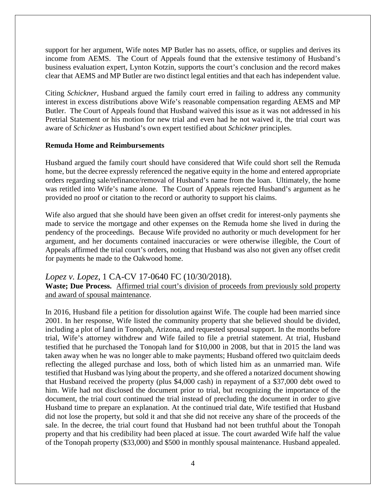support for her argument, Wife notes MP Butler has no assets, office, or supplies and derives its income from AEMS. The Court of Appeals found that the extensive testimony of Husband's business evaluation expert, Lynton Kotzin, supports the court's conclusion and the record makes clear that AEMS and MP Butler are two distinct legal entities and that each has independent value.

Citing *Schickner,* Husband argued the family court erred in failing to address any community interest in excess distributions above Wife's reasonable compensation regarding AEMS and MP Butler. The Court of Appeals found that Husband waived this issue as it was not addressed in his Pretrial Statement or his motion for new trial and even had he not waived it, the trial court was aware of *Schickner* as Husband's own expert testified about *Schickner* principles.

#### **Remuda Home and Reimbursements**

Husband argued the family court should have considered that Wife could short sell the Remuda home, but the decree expressly referenced the negative equity in the home and entered appropriate orders regarding sale/refinance/removal of Husband's name from the loan. Ultimately, the home was retitled into Wife's name alone. The Court of Appeals rejected Husband's argument as he provided no proof or citation to the record or authority to support his claims.

Wife also argued that she should have been given an offset credit for interest-only payments she made to service the mortgage and other expenses on the Remuda home she lived in during the pendency of the proceedings. Because Wife provided no authority or much development for her argument, and her documents contained inaccuracies or were otherwise illegible, the Court of Appeals affirmed the trial court's orders, noting that Husband was also not given any offset credit for payments he made to the Oakwood home.

#### *Lopez v. Lopez*, 1 CA-CV 17-0640 FC (10/30/2018).

Waste; Due Process. Affirmed trial court's division of proceeds from previously sold property and award of spousal maintenance.

In 2016, Husband file a petition for dissolution against Wife. The couple had been married since 2001. In her response, Wife listed the community property that she believed should be divided, including a plot of land in Tonopah, Arizona, and requested spousal support. In the months before trial, Wife's attorney withdrew and Wife failed to file a pretrial statement. At trial, Husband testified that he purchased the Tonopah land for \$10,000 in 2008, but that in 2015 the land was taken away when he was no longer able to make payments; Husband offered two quitclaim deeds reflecting the alleged purchase and loss, both of which listed him as an unmarried man. Wife testified that Husband was lying about the property, and she offered a notarized document showing that Husband received the property (plus \$4,000 cash) in repayment of a \$37,000 debt owed to him. Wife had not disclosed the document prior to trial, but recognizing the importance of the document, the trial court continued the trial instead of precluding the document in order to give Husband time to prepare an explanation. At the continued trial date, Wife testified that Husband did not lose the property, but sold it and that she did not receive any share of the proceeds of the sale. In the decree, the trial court found that Husband had not been truthful about the Tonopah property and that his credibility had been placed at issue. The court awarded Wife half the value of the Tonopah property (\$33,000) and \$500 in monthly spousal maintenance. Husband appealed.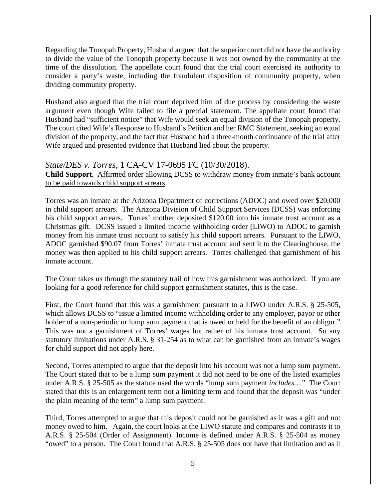Regarding the Tonopah Property, Husband argued that the superior court did not have the authority to divide the value of the Tonopah property because it was not owned by the community at the time of the dissolution. The appellate court found that the trial court exercised its authority to consider a party's waste, including the fraudulent disposition of community property, when dividing community property.

Husband also argued that the trial court deprived him of due process by considering the waste argument even though Wife failed to file a pretrial statement. The appellate court found that Husband had "sufficient notice" that Wife would seek an equal division of the Tonopah property. The court cited Wife's Response to Husband's Petition and her RMC Statement, seeking an equal division of the property, and the fact that Husband had a three-month continuance of the trial after Wife argued and presented evidence that Husband lied about the property.

#### *State/DES v. Torres*, 1 CA-CV 17-0695 FC (10/30/2018).

**Child Support.** Affirmed order allowing DCSS to withdraw money from inmate's bank account to be paid towards child support arrears.

Torres was an inmate at the Arizona Department of corrections (ADOC) and owed over \$20,000 in child support arrears. The Arizona Division of Child Support Services (DCSS) was enforcing his child support arrears. Torres' mother deposited \$120.00 into his inmate trust account as a Christmas gift. DCSS issued a limited income withholding order (LIWO) to ADOC to garnish money from his inmate trust account to satisfy his child support arrears. Pursuant to the LIWO, ADOC garnished \$90.07 from Torres' inmate trust account and sent it to the Clearinghouse, the money was then applied to his child support arrears. Torres challenged that garnishment of his inmate account.

The Court takes us through the statutory trail of how this garnishment was authorized. If you are looking for a good reference for child support garnishment statutes, this is the case.

First, the Court found that this was a garnishment pursuant to a LIWO under A.R.S. § 25-505, which allows DCSS to "issue a limited income withholding order to any employer, payor or other holder of a non-periodic or lump sum payment that is owed or held for the benefit of an obligor." This was not a garnishment of Torres' wages but rather of his inmate trust account. So any statutory limitations under A.R.S. § 31-254 as to what can be garnished from an inmate's wages for child support did not apply here.

Second, Torres attempted to argue that the deposit into his account was not a lump sum payment. The Court stated that to be a lump sum payment it did not need to be one of the listed examples under A.R.S. § 25-505 as the statute used the words "lump sum payment *includes…"* The Court stated that this is an enlargement term not a limiting term and found that the deposit was "under the plain meaning of the term" a lump sum payment.

Third, Torres attempted to argue that this deposit could not be garnished as it was a gift and not money owed to him. Again, the court looks at the LIWO statute and compares and contrasts it to A.R.S. § 25-504 (Order of Assignment). Income is defined under A.R.S. § 25-504 as money "owed" to a person. The Court found that A.R.S. § 25-505 does not have that limitation and as it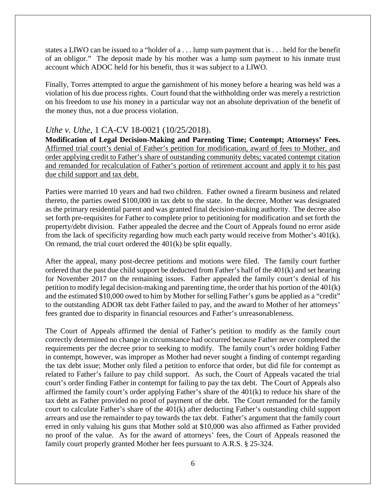states a LIWO can be issued to a "holder of a . . . lump sum payment that is . . . held for the benefit of an obligor." The deposit made by his mother was a lump sum payment to his inmate trust account which ADOC held for his benefit, thus it was subject to a LIWO.

Finally, Torres attempted to argue the garnishment of his money before a hearing was held was a violation of his due process rights. Court found that the withholding order was merely a restriction on his freedom to use his money in a particular way not an absolute deprivation of the benefit of the money thus, not a due process violation.

# *Uthe v. Uthe*, 1 CA-CV 18-0021 (10/25/2018).

**Modification of Legal Decision-Making and Parenting Time; Contempt; Attorneys' Fees.**  Affirmed trial court's denial of Father's petition for modification, award of fees to Mother, and order applying credit to Father's share of outstanding community debts; vacated contempt citation and remanded for recalculation of Father's portion of retirement account and apply it to his past due child support and tax debt.

Parties were married 10 years and had two children. Father owned a firearm business and related thereto, the parties owed \$100,000 in tax debt to the state. In the decree, Mother was designated as the primary residential parent and was granted final decision-making authority. The decree also set forth pre-requisites for Father to complete prior to petitioning for modification and set forth the property/debt division. Father appealed the decree and the Court of Appeals found no error aside from the lack of specificity regarding how much each party would receive from Mother's 401(k). On remand, the trial court ordered the  $401(k)$  be split equally.

After the appeal, many post-decree petitions and motions were filed. The family court further ordered that the past due child support be deducted from Father's half of the 401(k) and set hearing for November 2017 on the remaining issues. Father appealed the family court's denial of his petition to modify legal decision-making and parenting time, the order that his portion of the 401(k) and the estimated \$10,000 owed to him by Mother for selling Father's guns be applied as a "credit" to the outstanding ADOR tax debt Father failed to pay, and the award to Mother of her attorneys' fees granted due to disparity in financial resources and Father's unreasonableness.

The Court of Appeals affirmed the denial of Father's petition to modify as the family court correctly determined no change in circumstance had occurred because Father never completed the requirements per the decree prior to seeking to modify. The family court's order holding Father in contempt, however, was improper as Mother had never sought a finding of contempt regarding the tax debt issue; Mother only filed a petition to enforce that order, but did file for contempt as related to Father's failure to pay child support. As such, the Court of Appeals vacated the trial court's order finding Father in contempt for failing to pay the tax debt. The Court of Appeals also affirmed the family court's order applying Father's share of the 401(k) to reduce his share of the tax debt as Father provided no proof of payment of the debt. The Court remanded for the family court to calculate Father's share of the 401(k) after deducting Father's outstanding child support arrears and use the remainder to pay towards the tax debt. Father's argument that the family court erred in only valuing his guns that Mother sold at \$10,000 was also affirmed as Father provided no proof of the value. As for the award of attorneys' fees, the Court of Appeals reasoned the family court properly granted Mother her fees pursuant to A.R.S. § 25-324.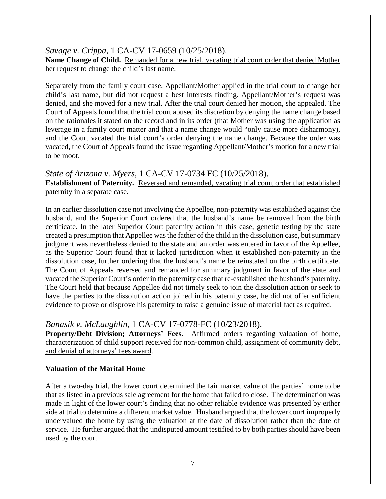# *Savage v. Crippa*, 1 CA-CV 17-0659 (10/25/2018).

#### **Name Change of Child.** Remanded for a new trial, vacating trial court order that denied Mother her request to change the child's last name.

Separately from the family court case, Appellant/Mother applied in the trial court to change her child's last name, but did not request a best interests finding. Appellant/Mother's request was denied, and she moved for a new trial. After the trial court denied her motion, she appealed. The Court of Appeals found that the trial court abused its discretion by denying the name change based on the rationales it stated on the record and in its order (that Mother was using the application as leverage in a family court matter and that a name change would "only cause more disharmony), and the Court vacated the trial court's order denying the name change. Because the order was vacated, the Court of Appeals found the issue regarding Appellant/Mother's motion for a new trial to be moot.

# *State of Arizona v. Myers*, 1 CA-CV 17-0734 FC (10/25/2018).

**Establishment of Paternity.** Reversed and remanded, vacating trial court order that established paternity in a separate case.

In an earlier dissolution case not involving the Appellee, non-paternity was established against the husband, and the Superior Court ordered that the husband's name be removed from the birth certificate. In the later Superior Court paternity action in this case, genetic testing by the state created a presumption that Appellee was the father of the child in the dissolution case, but summary judgment was nevertheless denied to the state and an order was entered in favor of the Appellee, as the Superior Court found that it lacked jurisdiction when it established non-paternity in the dissolution case, further ordering that the husband's name be reinstated on the birth certificate. The Court of Appeals reversed and remanded for summary judgment in favor of the state and vacated the Superior Court's order in the paternity case that re-established the husband's paternity. The Court held that because Appellee did not timely seek to join the dissolution action or seek to have the parties to the dissolution action joined in his paternity case, he did not offer sufficient evidence to prove or disprove his paternity to raise a genuine issue of material fact as required.

# *Banasik v. McLaughlin*, 1 CA-CV 17-0778-FC (10/23/2018).

**Property/Debt Division; Attorneys' Fees.** Affirmed orders regarding valuation of home, characterization of child support received for non-common child, assignment of community debt, and denial of attorneys' fees award.

# **Valuation of the Marital Home**

After a two-day trial, the lower court determined the fair market value of the parties' home to be that as listed in a previous sale agreement for the home that failed to close. The determination was made in light of the lower court's finding that no other reliable evidence was presented by either side at trial to determine a different market value. Husband argued that the lower court improperly undervalued the home by using the valuation at the date of dissolution rather than the date of service. He further argued that the undisputed amount testified to by both parties should have been used by the court.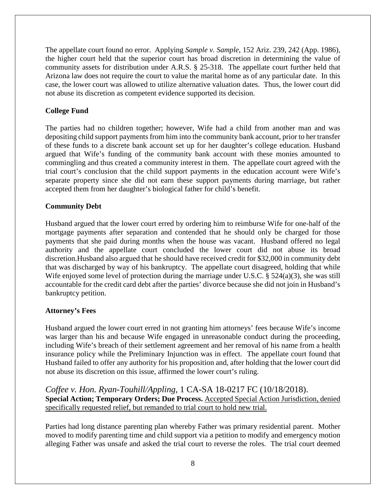The appellate court found no error. Applying *Sample v. Sample*, 152 Ariz. 239, 242 (App. 1986), the higher court held that the superior court has broad discretion in determining the value of community assets for distribution under A.R.S. § 25-318. The appellate court further held that Arizona law does not require the court to value the marital home as of any particular date. In this case, the lower court was allowed to utilize alternative valuation dates. Thus, the lower court did not abuse its discretion as competent evidence supported its decision.

### **College Fund**

The parties had no children together; however, Wife had a child from another man and was depositing child support payments from him into the community bank account, prior to her transfer of these funds to a discrete bank account set up for her daughter's college education. Husband argued that Wife's funding of the community bank account with these monies amounted to commingling and thus created a community interest in them. The appellate court agreed with the trial court's conclusion that the child support payments in the education account were Wife's separate property since she did not earn these support payments during marriage, but rather accepted them from her daughter's biological father for child's benefit.

#### **Community Debt**

Husband argued that the lower court erred by ordering him to reimburse Wife for one-half of the mortgage payments after separation and contended that he should only be charged for those payments that she paid during months when the house was vacant. Husband offered no legal authority and the appellate court concluded the lower court did not abuse its broad discretion.Husband also argued that he should have received credit for \$32,000 in community debt that was discharged by way of his bankruptcy. The appellate court disagreed, holding that while Wife enjoyed some level of protection during the marriage under U.S.C. § 524(a)(3), she was still accountable for the credit card debt after the parties' divorce because she did not join in Husband's bankruptcy petition.

#### **Attorney's Fees**

Husband argued the lower court erred in not granting him attorneys' fees because Wife's income was larger than his and because Wife engaged in unreasonable conduct during the proceeding, including Wife's breach of their settlement agreement and her removal of his name from a health insurance policy while the Preliminary Injunction was in effect. The appellate court found that Husband failed to offer any authority for his proposition and, after holding that the lower court did not abuse its discretion on this issue, affirmed the lower court's ruling.

*Coffee v. Hon. Ryan-Touhill/Appling*, 1 CA-SA 18-0217 FC (10/18/2018). **Special Action; Temporary Orders; Due Process.** Accepted Special Action Jurisdiction, denied specifically requested relief, but remanded to trial court to hold new trial.

Parties had long distance parenting plan whereby Father was primary residential parent. Mother moved to modify parenting time and child support via a petition to modify and emergency motion alleging Father was unsafe and asked the trial court to reverse the roles. The trial court deemed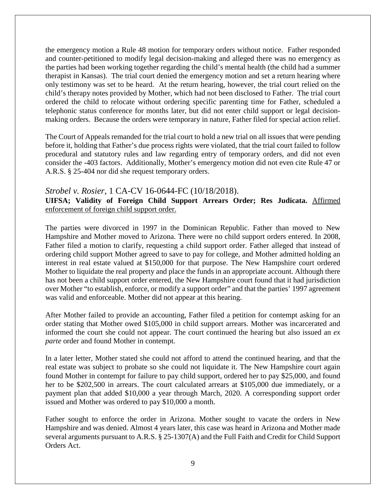the emergency motion a Rule 48 motion for temporary orders without notice. Father responded and counter-petitioned to modify legal decision-making and alleged there was no emergency as the parties had been working together regarding the child's mental health (the child had a summer therapist in Kansas). The trial court denied the emergency motion and set a return hearing where only testimony was set to be heard. At the return hearing, however, the trial court relied on the child's therapy notes provided by Mother, which had not been disclosed to Father. The trial court ordered the child to relocate without ordering specific parenting time for Father, scheduled a telephonic status conference for months later, but did not enter child support or legal decisionmaking orders. Because the orders were temporary in nature, Father filed for special action relief.

The Court of Appeals remanded for the trial court to hold a new trial on all issues that were pending before it, holding that Father's due process rights were violated, that the trial court failed to follow procedural and statutory rules and law regarding entry of temporary orders, and did not even consider the -403 factors. Additionally, Mother's emergency motion did not even cite Rule 47 or A.R.S. § 25-404 nor did she request temporary orders.

#### *Strobel v. Rosier*, 1 CA-CV 16-0644-FC (10/18/2018).

**UIFSA; Validity of Foreign Child Support Arrears Order; Res Judicata.** Affirmed enforcement of foreign child support order.

The parties were divorced in 1997 in the Dominican Republic. Father than moved to New Hampshire and Mother moved to Arizona. There were no child support orders entered. In 2008, Father filed a motion to clarify, requesting a child support order. Father alleged that instead of ordering child support Mother agreed to save to pay for college, and Mother admitted holding an interest in real estate valued at \$150,000 for that purpose. The New Hampshire court ordered Mother to liquidate the real property and place the funds in an appropriate account. Although there has not been a child support order entered, the New Hampshire court found that it had jurisdiction over Mother "to establish, enforce, or modify a support order" and that the parties' 1997 agreement was valid and enforceable. Mother did not appear at this hearing.

After Mother failed to provide an accounting, Father filed a petition for contempt asking for an order stating that Mother owed \$105,000 in child support arrears. Mother was incarcerated and informed the court she could not appear. The court continued the hearing but also issued an *ex parte* order and found Mother in contempt.

In a later letter, Mother stated she could not afford to attend the continued hearing, and that the real estate was subject to probate so she could not liquidate it. The New Hampshire court again found Mother in contempt for failure to pay child support, ordered her to pay \$25,000, and found her to be \$202,500 in arrears. The court calculated arrears at \$105,000 due immediately, or a payment plan that added \$10,000 a year through March, 2020. A corresponding support order issued and Mother was ordered to pay \$10,000 a month.

Father sought to enforce the order in Arizona. Mother sought to vacate the orders in New Hampshire and was denied. Almost 4 years later, this case was heard in Arizona and Mother made several arguments pursuant to A.R.S. § 25-1307(A) and the Full Faith and Credit for Child Support Orders Act.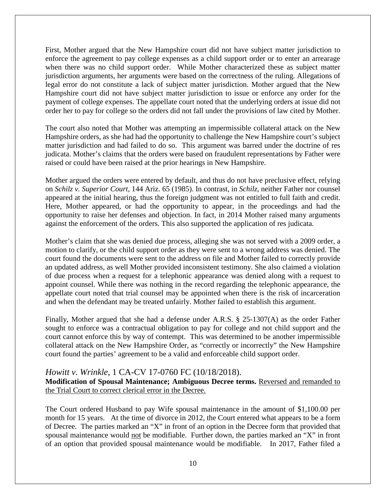First, Mother argued that the New Hampshire court did not have subject matter jurisdiction to enforce the agreement to pay college expenses as a child support order or to enter an arrearage when there was no child support order. While Mother characterized these as subject matter jurisdiction arguments, her arguments were based on the correctness of the ruling. Allegations of legal error do not constitute a lack of subject matter jurisdiction. Mother argued that the New Hampshire court did not have subject matter jurisdiction to issue or enforce any order for the payment of college expenses. The appellate court noted that the underlying orders at issue did not order her to pay for college so the orders did not fall under the provisions of law cited by Mother.

The court also noted that Mother was attempting an impermissible collateral attack on the New Hampshire orders, as she had had the opportunity to challenge the New Hampshire court's subject matter jurisdiction and had failed to do so. This argument was barred under the doctrine of res judicata. Mother's claims that the orders were based on fraudulent representations by Father were raised or could have been raised at the prior hearings in New Hampshire.

Mother argued the orders were entered by default, and thus do not have preclusive effect, relying on *Schilz v. Superior Court*, 144 Ariz. 65 (1985). In contrast, in *Schilz*, neither Father nor counsel appeared at the initial hearing, thus the foreign judgment was not entitled to full faith and credit. Here, Mother appeared, or had the opportunity to appear, in the proceedings and had the opportunity to raise her defenses and objection. In fact, in 2014 Mother raised many arguments against the enforcement of the orders. This also supported the application of res judicata.

Mother's claim that she was denied due process, alleging she was not served with a 2009 order, a motion to clarify, or the child support order as they were sent to a wrong address was denied. The court found the documents were sent to the address on file and Mother failed to correctly provide an updated address, as well Mother provided inconsistent testimony. She also claimed a violation of due process when a request for a telephonic appearance was denied along with a request to appoint counsel. While there was nothing in the record regarding the telephonic appearance, the appellate court noted that trial counsel may be appointed when there is the risk of incarceration and when the defendant may be treated unfairly. Mother failed to establish this argument.

Finally, Mother argued that she had a defense under A.R.S. § 25-1307(A) as the order Father sought to enforce was a contractual obligation to pay for college and not child support and the court cannot enforce this by way of contempt. This was determined to be another impermissible collateral attack on the New Hampshire Order, as "correctly or incorrectly" the New Hampshire court found the parties' agreement to be a valid and enforceable child support order.

# *Howitt v. Wrinkle*, 1 CA-CV 17-0760 FC (10/18/2018).

**Modification of Spousal Maintenance; Ambiguous Decree terms.** Reversed and remanded to the Trial Court to correct clerical error in the Decree.

The Court ordered Husband to pay Wife spousal maintenance in the amount of \$1,100.00 per month for 15 years. At the time of divorce in 2012, the Court entered what appears to be a form of Decree. The parties marked an "X" in front of an option in the Decree form that provided that spousal maintenance would not be modifiable. Further down, the parties marked an "X" in front of an option that provided spousal maintenance would be modifiable. In 2017, Father filed a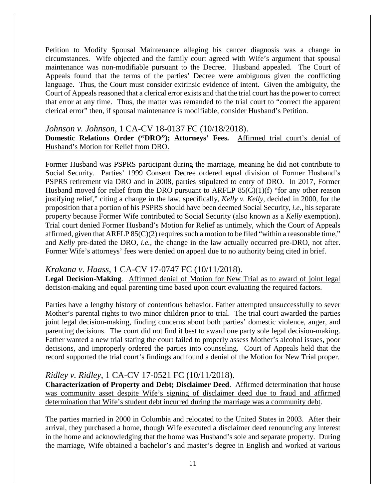Petition to Modify Spousal Maintenance alleging his cancer diagnosis was a change in circumstances. Wife objected and the family court agreed with Wife's argument that spousal maintenance was non-modifiable pursuant to the Decree. Husband appealed. The Court of Appeals found that the terms of the parties' Decree were ambiguous given the conflicting language. Thus, the Court must consider extrinsic evidence of intent. Given the ambiguity, the Court of Appeals reasoned that a clerical error exists and that the trial court has the power to correct that error at any time. Thus, the matter was remanded to the trial court to "correct the apparent clerical error" then, if spousal maintenance is modifiable, consider Husband's Petition.

#### *Johnson v. Johnson*, 1 CA-CV 18-0137 FC (10/18/2018).

# **Domestic Relations Order ("DRO"); Attorneys' Fees.** Affirmed trial court's denial of Husband's Motion for Relief from DRO.

Former Husband was PSPRS participant during the marriage, meaning he did not contribute to Social Security. Parties' 1999 Consent Decree ordered equal division of Former Husband's PSPRS retirement via DRO and in 2008, parties stipulated to entry of DRO. In 2017, Former Husband moved for relief from the DRO pursuant to ARFLP  $85(C)(1)(f)$  "for any other reason justifying relief," citing a change in the law, specifically, *Kelly v. Kelly*, decided in 2000, for the proposition that a portion of his PSPRS should have been deemed Social Security, *i.e.*, his separate property because Former Wife contributed to Social Security (also known as a *Kelly* exemption). Trial court denied Former Husband's Motion for Relief as untimely, which the Court of Appeals affirmed, given that ARFLP  $85(C)(2)$  requires such a motion to be filed "within a reasonable time," and *Kelly* pre-dated the DRO, *i.e.,* the change in the law actually occurred pre-DRO, not after. Former Wife's attorneys' fees were denied on appeal due to no authority being cited in brief.

# *Krakana v. Haass*, 1 CA-CV 17-0747 FC (10/11/2018).

**Legal Decision-Making**. Affirmed denial of Motion for New Trial as to award of joint legal decision-making and equal parenting time based upon court evaluating the required factors.

Parties have a lengthy history of contentious behavior. Father attempted unsuccessfully to sever Mother's parental rights to two minor children prior to trial. The trial court awarded the parties joint legal decision-making, finding concerns about both parties' domestic violence, anger, and parenting decisions. The court did not find it best to award one party sole legal decision-making. Father wanted a new trial stating the court failed to properly assess Mother's alcohol issues, poor decisions, and improperly ordered the parties into counseling. Court of Appeals held that the record supported the trial court's findings and found a denial of the Motion for New Trial proper.

# *Ridley v. Ridley*, 1 CA-CV 17-0521 FC (10/11/2018).

**Characterization of Property and Debt; Disclaimer Deed**. Affirmed determination that house was community asset despite Wife's signing of disclaimer deed due to fraud and affirmed determination that Wife's student debt incurred during the marriage was a community debt.

The parties married in 2000 in Columbia and relocated to the United States in 2003. After their arrival, they purchased a home, though Wife executed a disclaimer deed renouncing any interest in the home and acknowledging that the home was Husband's sole and separate property. During the marriage, Wife obtained a bachelor's and master's degree in English and worked at various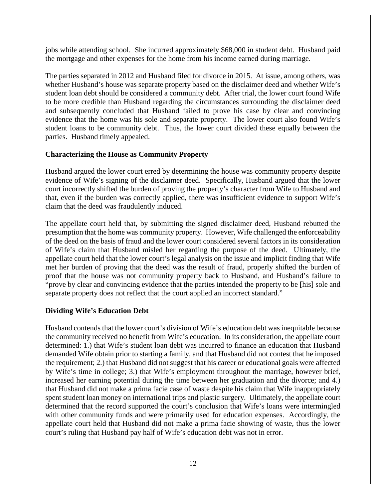jobs while attending school. She incurred approximately \$68,000 in student debt. Husband paid the mortgage and other expenses for the home from his income earned during marriage.

The parties separated in 2012 and Husband filed for divorce in 2015. At issue, among others, was whether Husband's house was separate property based on the disclaimer deed and whether Wife's student loan debt should be considered a community debt. After trial, the lower court found Wife to be more credible than Husband regarding the circumstances surrounding the disclaimer deed and subsequently concluded that Husband failed to prove his case by clear and convincing evidence that the home was his sole and separate property. The lower court also found Wife's student loans to be community debt. Thus, the lower court divided these equally between the parties. Husband timely appealed.

#### **Characterizing the House as Community Property**

Husband argued the lower court erred by determining the house was community property despite evidence of Wife's signing of the disclaimer deed. Specifically, Husband argued that the lower court incorrectly shifted the burden of proving the property's character from Wife to Husband and that, even if the burden was correctly applied, there was insufficient evidence to support Wife's claim that the deed was fraudulently induced.

The appellate court held that, by submitting the signed disclaimer deed, Husband rebutted the presumption that the home was community property. However, Wife challenged the enforceability of the deed on the basis of fraud and the lower court considered several factors in its consideration of Wife's claim that Husband misled her regarding the purpose of the deed. Ultimately, the appellate court held that the lower court's legal analysis on the issue and implicit finding that Wife met her burden of proving that the deed was the result of fraud, properly shifted the burden of proof that the house was not community property back to Husband, and Husband's failure to "prove by clear and convincing evidence that the parties intended the property to be [his] sole and separate property does not reflect that the court applied an incorrect standard."

# **Dividing Wife's Education Debt**

Husband contends that the lower court's division of Wife's education debt was inequitable because the community received no benefit from Wife's education. In its consideration, the appellate court determined: 1.) that Wife's student loan debt was incurred to finance an education that Husband demanded Wife obtain prior to starting a family, and that Husband did not contest that he imposed the requirement; 2.) that Husband did not suggest that his career or educational goals were affected by Wife's time in college; 3.) that Wife's employment throughout the marriage, however brief, increased her earning potential during the time between her graduation and the divorce; and 4.) that Husband did not make a prima facie case of waste despite his claim that Wife inappropriately spent student loan money on international trips and plastic surgery. Ultimately, the appellate court determined that the record supported the court's conclusion that Wife's loans were intermingled with other community funds and were primarily used for education expenses. Accordingly, the appellate court held that Husband did not make a prima facie showing of waste, thus the lower court's ruling that Husband pay half of Wife's education debt was not in error.